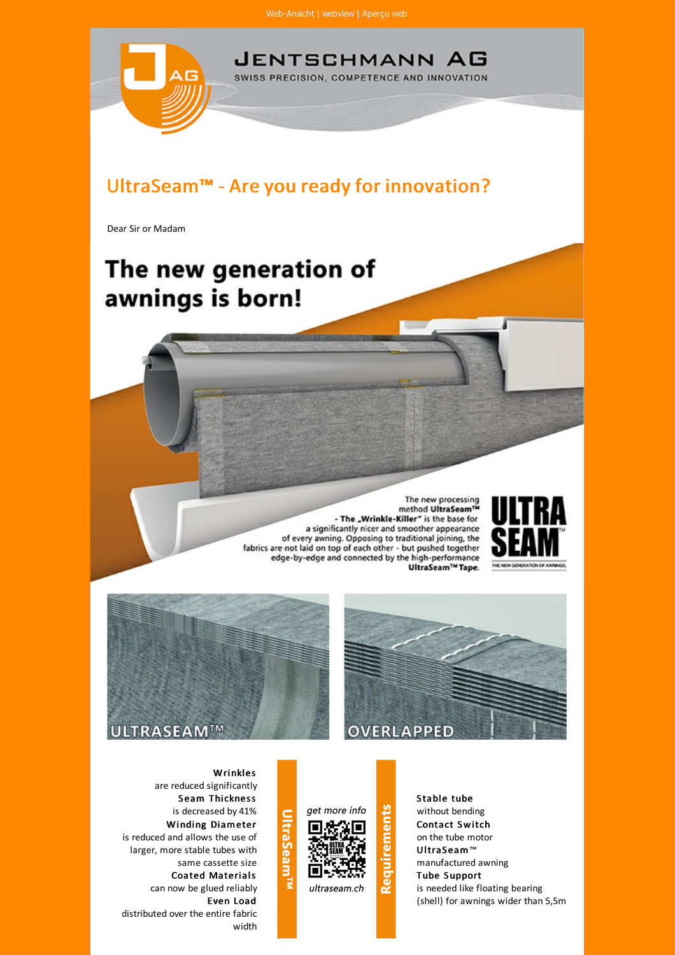

The new processing<br>method UltraSeam™ - The "Wrinkle-Killer" is the base for a significantly nicer and smoother appearance of every awning. Opposing to traditional joining, the fabrics are not laid on top of each other - but pushed together<br>edge-by-edge and connected by the high-performance UltraSeam<sup>TM</sup> Tape.









**Wrinkles** are reduced significantly Seam Thickness is decreased by 41% Winding Diameter is reduced and allows the use of larger, more stable tubes with same cassette size Coated Materials can now be glued reliably Even Load distributed over the entire fabric width



**Req** 

Stable tube without bending Contact Switch on the tube motor U ltraS eam™ manufactured awning **Tube Support** is needed like floating bearing (shell) for awnings wider than 5,5m

## **Trabeam**